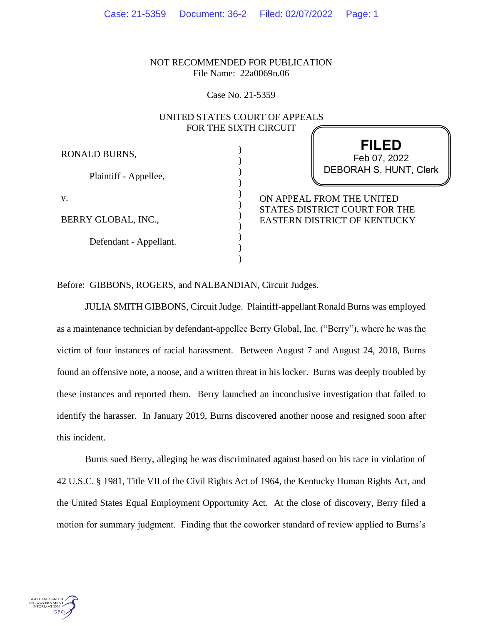NOT RECOMMENDED FOR PUBLICATION File Name: 22a0069n.06

Case No. 21-5359

# UNITED STATES COURT OF APPEALS FOR THE SIXTH CIRCUIT

) ) ) ) ) ) ) )  $\lambda$ ) )

RONALD BURNS,

Plaintiff - Appellee,

v.

BERRY GLOBAL, INC.,

Defendant - Appellant.

**FILED** DEBORAH S. HUNT, Clerk Feb 07, 2022

ON APPEAL FROM THE UNITED STATES DISTRICT COURT FOR THE EASTERN DISTRICT OF KENTUCKY

Before: GIBBONS, ROGERS, and NALBANDIAN, Circuit Judges.

JULIA SMITH GIBBONS, Circuit Judge. Plaintiff-appellant Ronald Burns was employed as a maintenance technician by defendant-appellee Berry Global, Inc. ("Berry"), where he was the victim of four instances of racial harassment. Between August 7 and August 24, 2018, Burns found an offensive note, a noose, and a written threat in his locker. Burns was deeply troubled by these instances and reported them. Berry launched an inconclusive investigation that failed to identify the harasser. In January 2019, Burns discovered another noose and resigned soon after this incident.

Burns sued Berry, alleging he was discriminated against based on his race in violation of 42 U.S.C. § 1981, Title VII of the Civil Rights Act of 1964, the Kentucky Human Rights Act, and the United States Equal Employment Opportunity Act. At the close of discovery, Berry filed a motion for summary judgment. Finding that the coworker standard of review applied to Burns's

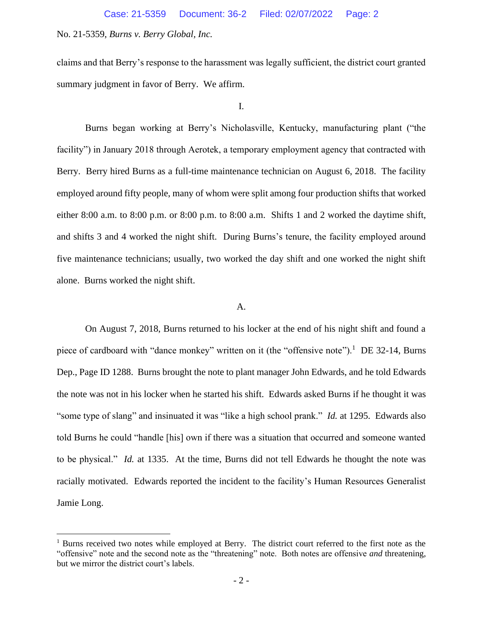claims and that Berry's response to the harassment was legally sufficient, the district court granted summary judgment in favor of Berry. We affirm.

I.

Burns began working at Berry's Nicholasville, Kentucky, manufacturing plant ("the facility") in January 2018 through Aerotek, a temporary employment agency that contracted with Berry. Berry hired Burns as a full-time maintenance technician on August 6, 2018. The facility employed around fifty people, many of whom were split among four production shifts that worked either 8:00 a.m. to 8:00 p.m. or 8:00 p.m. to 8:00 a.m. Shifts 1 and 2 worked the daytime shift, and shifts 3 and 4 worked the night shift. During Burns's tenure, the facility employed around five maintenance technicians; usually, two worked the day shift and one worked the night shift alone. Burns worked the night shift.

### A.

On August 7, 2018, Burns returned to his locker at the end of his night shift and found a piece of cardboard with "dance monkey" written on it (the "offensive note").<sup>1</sup> DE 32-14, Burns Dep., Page ID 1288. Burns brought the note to plant manager John Edwards, and he told Edwards the note was not in his locker when he started his shift. Edwards asked Burns if he thought it was "some type of slang" and insinuated it was "like a high school prank." *Id.* at 1295. Edwards also told Burns he could "handle [his] own if there was a situation that occurred and someone wanted to be physical." *Id.* at 1335. At the time, Burns did not tell Edwards he thought the note was racially motivated. Edwards reported the incident to the facility's Human Resources Generalist Jamie Long.

<sup>&</sup>lt;sup>1</sup> Burns received two notes while employed at Berry. The district court referred to the first note as the "offensive" note and the second note as the "threatening" note. Both notes are offensive *and* threatening, but we mirror the district court's labels.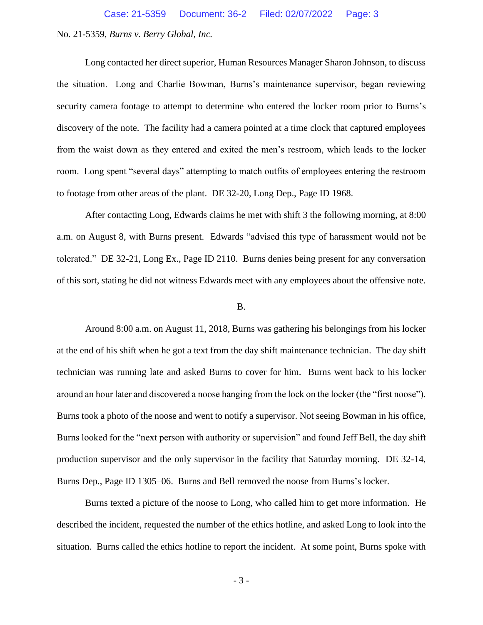Long contacted her direct superior, Human Resources Manager Sharon Johnson, to discuss the situation. Long and Charlie Bowman, Burns's maintenance supervisor, began reviewing security camera footage to attempt to determine who entered the locker room prior to Burns's discovery of the note. The facility had a camera pointed at a time clock that captured employees from the waist down as they entered and exited the men's restroom, which leads to the locker room. Long spent "several days" attempting to match outfits of employees entering the restroom to footage from other areas of the plant. DE 32-20, Long Dep., Page ID 1968.

After contacting Long, Edwards claims he met with shift 3 the following morning, at 8:00 a.m. on August 8, with Burns present. Edwards "advised this type of harassment would not be tolerated." DE 32-21, Long Ex., Page ID 2110. Burns denies being present for any conversation of this sort, stating he did not witness Edwards meet with any employees about the offensive note.

#### B.

Around 8:00 a.m. on August 11, 2018, Burns was gathering his belongings from his locker at the end of his shift when he got a text from the day shift maintenance technician. The day shift technician was running late and asked Burns to cover for him. Burns went back to his locker around an hour later and discovered a noose hanging from the lock on the locker (the "first noose"). Burns took a photo of the noose and went to notify a supervisor. Not seeing Bowman in his office, Burns looked for the "next person with authority or supervision" and found Jeff Bell, the day shift production supervisor and the only supervisor in the facility that Saturday morning. DE 32-14, Burns Dep., Page ID 1305–06. Burns and Bell removed the noose from Burns's locker.

Burns texted a picture of the noose to Long, who called him to get more information. He described the incident, requested the number of the ethics hotline, and asked Long to look into the situation. Burns called the ethics hotline to report the incident. At some point, Burns spoke with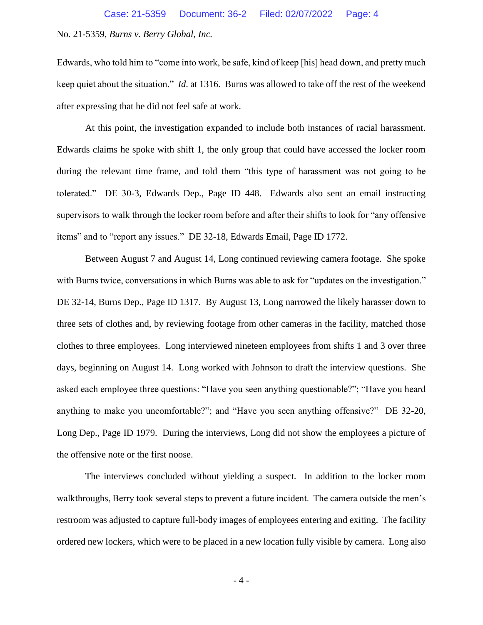Edwards, who told him to "come into work, be safe, kind of keep [his] head down, and pretty much keep quiet about the situation." *Id*. at 1316. Burns was allowed to take off the rest of the weekend after expressing that he did not feel safe at work.

At this point, the investigation expanded to include both instances of racial harassment. Edwards claims he spoke with shift 1, the only group that could have accessed the locker room during the relevant time frame, and told them "this type of harassment was not going to be tolerated." DE 30-3, Edwards Dep., Page ID 448. Edwards also sent an email instructing supervisors to walk through the locker room before and after their shifts to look for "any offensive items" and to "report any issues." DE 32-18, Edwards Email, Page ID 1772.

Between August 7 and August 14, Long continued reviewing camera footage. She spoke with Burns twice, conversations in which Burns was able to ask for "updates on the investigation." DE 32-14, Burns Dep., Page ID 1317. By August 13, Long narrowed the likely harasser down to three sets of clothes and, by reviewing footage from other cameras in the facility, matched those clothes to three employees. Long interviewed nineteen employees from shifts 1 and 3 over three days, beginning on August 14. Long worked with Johnson to draft the interview questions. She asked each employee three questions: "Have you seen anything questionable?"; "Have you heard anything to make you uncomfortable?"; and "Have you seen anything offensive?" DE 32-20, Long Dep., Page ID 1979. During the interviews, Long did not show the employees a picture of the offensive note or the first noose.

The interviews concluded without yielding a suspect. In addition to the locker room walkthroughs, Berry took several steps to prevent a future incident. The camera outside the men's restroom was adjusted to capture full-body images of employees entering and exiting. The facility ordered new lockers, which were to be placed in a new location fully visible by camera. Long also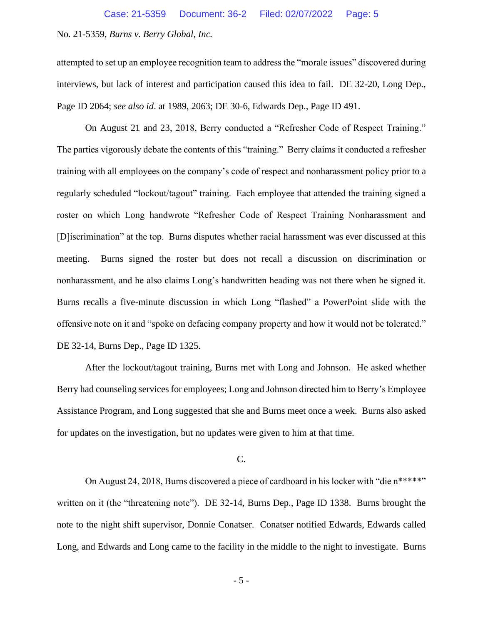attempted to set up an employee recognition team to address the "morale issues" discovered during interviews, but lack of interest and participation caused this idea to fail. DE 32-20, Long Dep., Page ID 2064; *see also id*. at 1989, 2063; DE 30-6, Edwards Dep., Page ID 491.

On August 21 and 23, 2018, Berry conducted a "Refresher Code of Respect Training." The parties vigorously debate the contents of this "training." Berry claims it conducted a refresher training with all employees on the company's code of respect and nonharassment policy prior to a regularly scheduled "lockout/tagout" training. Each employee that attended the training signed a roster on which Long handwrote "Refresher Code of Respect Training Nonharassment and [D]iscrimination" at the top. Burns disputes whether racial harassment was ever discussed at this meeting. Burns signed the roster but does not recall a discussion on discrimination or nonharassment, and he also claims Long's handwritten heading was not there when he signed it. Burns recalls a five-minute discussion in which Long "flashed" a PowerPoint slide with the offensive note on it and "spoke on defacing company property and how it would not be tolerated." DE 32-14, Burns Dep., Page ID 1325.

After the lockout/tagout training, Burns met with Long and Johnson. He asked whether Berry had counseling services for employees; Long and Johnson directed him to Berry's Employee Assistance Program, and Long suggested that she and Burns meet once a week. Burns also asked for updates on the investigation, but no updates were given to him at that time.

#### C.

On August 24, 2018, Burns discovered a piece of cardboard in his locker with "die n\*\*\*\*\*" written on it (the "threatening note"). DE 32-14, Burns Dep., Page ID 1338. Burns brought the note to the night shift supervisor, Donnie Conatser. Conatser notified Edwards, Edwards called Long, and Edwards and Long came to the facility in the middle to the night to investigate. Burns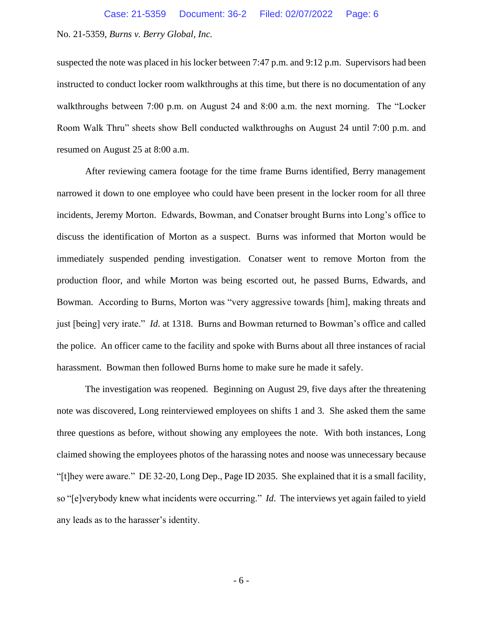suspected the note was placed in his locker between 7:47 p.m. and 9:12 p.m. Supervisors had been instructed to conduct locker room walkthroughs at this time, but there is no documentation of any walkthroughs between 7:00 p.m. on August 24 and 8:00 a.m. the next morning. The "Locker Room Walk Thru" sheets show Bell conducted walkthroughs on August 24 until 7:00 p.m. and resumed on August 25 at 8:00 a.m.

After reviewing camera footage for the time frame Burns identified, Berry management narrowed it down to one employee who could have been present in the locker room for all three incidents, Jeremy Morton. Edwards, Bowman, and Conatser brought Burns into Long's office to discuss the identification of Morton as a suspect. Burns was informed that Morton would be immediately suspended pending investigation. Conatser went to remove Morton from the production floor, and while Morton was being escorted out, he passed Burns, Edwards, and Bowman. According to Burns, Morton was "very aggressive towards [him], making threats and just [being] very irate." *Id*. at 1318. Burns and Bowman returned to Bowman's office and called the police. An officer came to the facility and spoke with Burns about all three instances of racial harassment. Bowman then followed Burns home to make sure he made it safely.

The investigation was reopened. Beginning on August 29, five days after the threatening note was discovered, Long reinterviewed employees on shifts 1 and 3. She asked them the same three questions as before, without showing any employees the note. With both instances, Long claimed showing the employees photos of the harassing notes and noose was unnecessary because "[t]hey were aware." DE 32-20, Long Dep., Page ID 2035. She explained that it is a small facility, so "[e]verybody knew what incidents were occurring." *Id*. The interviews yet again failed to yield any leads as to the harasser's identity.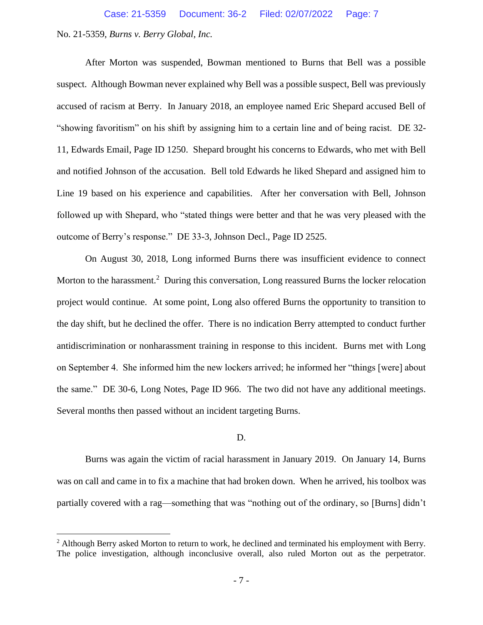After Morton was suspended, Bowman mentioned to Burns that Bell was a possible suspect. Although Bowman never explained why Bell was a possible suspect, Bell was previously accused of racism at Berry. In January 2018, an employee named Eric Shepard accused Bell of "showing favoritism" on his shift by assigning him to a certain line and of being racist. DE 32- 11, Edwards Email, Page ID 1250. Shepard brought his concerns to Edwards, who met with Bell and notified Johnson of the accusation. Bell told Edwards he liked Shepard and assigned him to Line 19 based on his experience and capabilities. After her conversation with Bell, Johnson followed up with Shepard, who "stated things were better and that he was very pleased with the outcome of Berry's response." DE 33-3, Johnson Decl., Page ID 2525.

On August 30, 2018, Long informed Burns there was insufficient evidence to connect Morton to the harassment.<sup>2</sup> During this conversation, Long reassured Burns the locker relocation project would continue. At some point, Long also offered Burns the opportunity to transition to the day shift, but he declined the offer. There is no indication Berry attempted to conduct further antidiscrimination or nonharassment training in response to this incident. Burns met with Long on September 4. She informed him the new lockers arrived; he informed her "things [were] about the same." DE 30-6, Long Notes, Page ID 966. The two did not have any additional meetings. Several months then passed without an incident targeting Burns.

### D.

Burns was again the victim of racial harassment in January 2019. On January 14, Burns was on call and came in to fix a machine that had broken down. When he arrived, his toolbox was partially covered with a rag—something that was "nothing out of the ordinary, so [Burns] didn't

<sup>&</sup>lt;sup>2</sup> Although Berry asked Morton to return to work, he declined and terminated his employment with Berry. The police investigation, although inconclusive overall, also ruled Morton out as the perpetrator.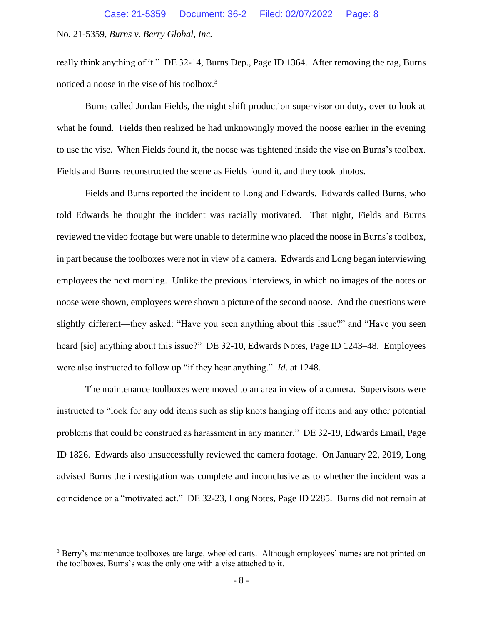really think anything of it." DE 32-14, Burns Dep., Page ID 1364. After removing the rag, Burns noticed a noose in the vise of his toolbox.<sup>3</sup>

Burns called Jordan Fields, the night shift production supervisor on duty, over to look at what he found. Fields then realized he had unknowingly moved the noose earlier in the evening to use the vise. When Fields found it, the noose was tightened inside the vise on Burns's toolbox. Fields and Burns reconstructed the scene as Fields found it, and they took photos.

Fields and Burns reported the incident to Long and Edwards. Edwards called Burns, who told Edwards he thought the incident was racially motivated. That night, Fields and Burns reviewed the video footage but were unable to determine who placed the noose in Burns's toolbox, in part because the toolboxes were not in view of a camera. Edwards and Long began interviewing employees the next morning. Unlike the previous interviews, in which no images of the notes or noose were shown, employees were shown a picture of the second noose. And the questions were slightly different—they asked: "Have you seen anything about this issue?" and "Have you seen heard [sic] anything about this issue?" DE 32-10, Edwards Notes, Page ID 1243-48. Employees were also instructed to follow up "if they hear anything." *Id*. at 1248.

The maintenance toolboxes were moved to an area in view of a camera. Supervisors were instructed to "look for any odd items such as slip knots hanging off items and any other potential problems that could be construed as harassment in any manner." DE 32-19, Edwards Email, Page ID 1826. Edwards also unsuccessfully reviewed the camera footage. On January 22, 2019, Long advised Burns the investigation was complete and inconclusive as to whether the incident was a coincidence or a "motivated act." DE 32-23, Long Notes, Page ID 2285. Burns did not remain at

<sup>&</sup>lt;sup>3</sup> Berry's maintenance toolboxes are large, wheeled carts. Although employees' names are not printed on the toolboxes, Burns's was the only one with a vise attached to it.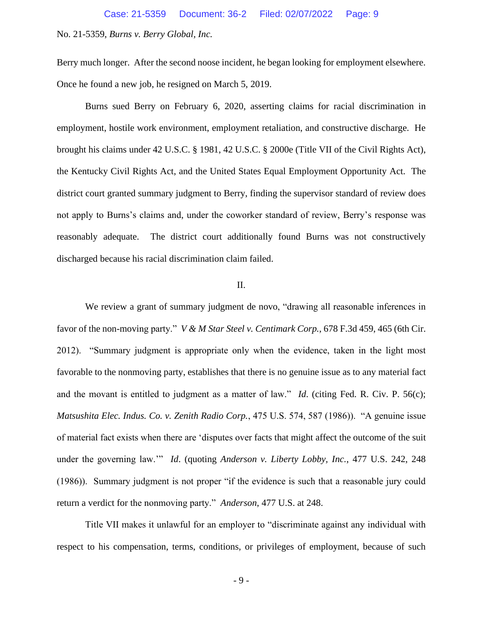Berry much longer. After the second noose incident, he began looking for employment elsewhere. Once he found a new job, he resigned on March 5, 2019.

Burns sued Berry on February 6, 2020, asserting claims for racial discrimination in employment, hostile work environment, employment retaliation, and constructive discharge. He brought his claims under 42 U.S.C. § 1981, 42 U.S.C. § 2000e (Title VII of the Civil Rights Act), the Kentucky Civil Rights Act, and the United States Equal Employment Opportunity Act. The district court granted summary judgment to Berry, finding the supervisor standard of review does not apply to Burns's claims and, under the coworker standard of review, Berry's response was reasonably adequate. The district court additionally found Burns was not constructively discharged because his racial discrimination claim failed.

## II.

We review a grant of summary judgment de novo, "drawing all reasonable inferences in favor of the non-moving party." *V & M Star Steel v. Centimark Corp.*, 678 F.3d 459, 465 (6th Cir. 2012). "Summary judgment is appropriate only when the evidence, taken in the light most favorable to the nonmoving party, establishes that there is no genuine issue as to any material fact and the movant is entitled to judgment as a matter of law." *Id*. (citing Fed. R. Civ. P. 56(c); *Matsushita Elec. Indus. Co. v. Zenith Radio Corp.*, 475 U.S. 574, 587 (1986)). "A genuine issue of material fact exists when there are 'disputes over facts that might affect the outcome of the suit under the governing law.'" *Id*. (quoting *Anderson v. Liberty Lobby, Inc.*, 477 U.S. 242, 248 (1986)). Summary judgment is not proper "if the evidence is such that a reasonable jury could return a verdict for the nonmoving party." *Anderson*, 477 U.S. at 248.

Title VII makes it unlawful for an employer to "discriminate against any individual with respect to his compensation, terms, conditions, or privileges of employment, because of such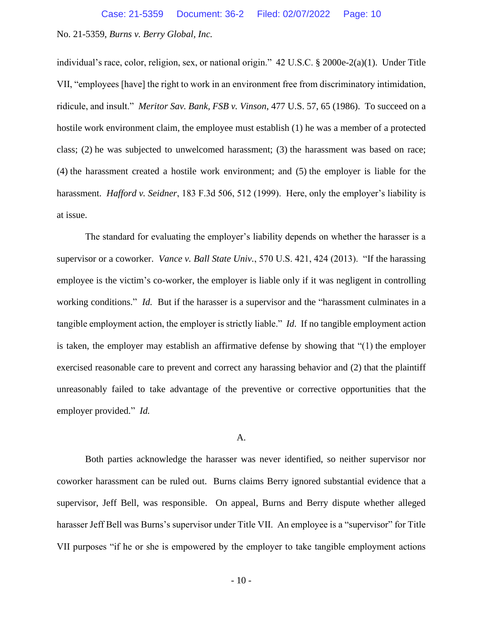individual's race, color, religion, sex, or national origin." 42 U.S.C. § 2000e-2(a)(1). Under Title VII, "employees [have] the right to work in an environment free from discriminatory intimidation, ridicule, and insult." *Meritor Sav. Bank, FSB v. Vinson*, 477 U.S. 57, 65 (1986). To succeed on a hostile work environment claim, the employee must establish (1) he was a member of a protected class; (2) he was subjected to unwelcomed harassment; (3) the harassment was based on race; (4) the harassment created a hostile work environment; and (5) the employer is liable for the harassment. *Hafford v. Seidner*, 183 F.3d 506, 512 (1999). Here, only the employer's liability is at issue.

The standard for evaluating the employer's liability depends on whether the harasser is a supervisor or a coworker. *Vance v. Ball State Univ.*, 570 U.S. 421, 424 (2013). "If the harassing employee is the victim's co-worker, the employer is liable only if it was negligent in controlling working conditions." *Id.* But if the harasser is a supervisor and the "harassment culminates in a tangible employment action, the employer is strictly liable." *Id*. If no tangible employment action is taken, the employer may establish an affirmative defense by showing that "(1) the employer exercised reasonable care to prevent and correct any harassing behavior and (2) that the plaintiff unreasonably failed to take advantage of the preventive or corrective opportunities that the employer provided." *Id.*

### A.

Both parties acknowledge the harasser was never identified, so neither supervisor nor coworker harassment can be ruled out. Burns claims Berry ignored substantial evidence that a supervisor, Jeff Bell, was responsible. On appeal, Burns and Berry dispute whether alleged harasser Jeff Bell was Burns's supervisor under Title VII. An employee is a "supervisor" for Title VII purposes "if he or she is empowered by the employer to take tangible employment actions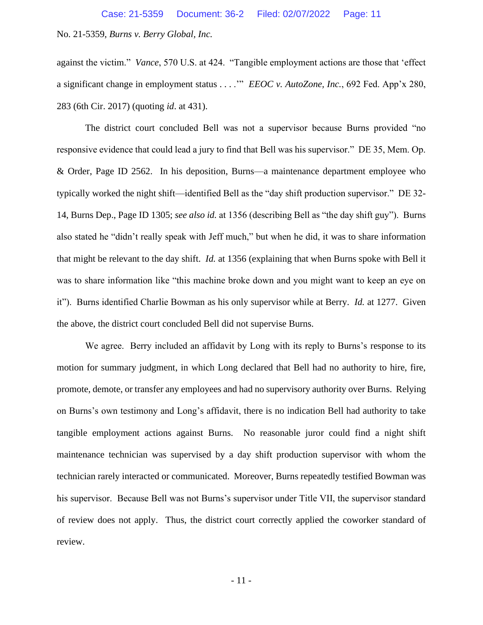against the victim." *Vance*, 570 U.S. at 424. "Tangible employment actions are those that 'effect a significant change in employment status . . . .'" *EEOC v. AutoZone, Inc.*, 692 Fed. App'x 280, 283 (6th Cir. 2017) (quoting *id*. at 431).

The district court concluded Bell was not a supervisor because Burns provided "no responsive evidence that could lead a jury to find that Bell was his supervisor." DE 35, Mem. Op. & Order, Page ID 2562. In his deposition, Burns—a maintenance department employee who typically worked the night shift—identified Bell as the "day shift production supervisor." DE 32- 14, Burns Dep., Page ID 1305; *see also id.* at 1356 (describing Bell as "the day shift guy"). Burns also stated he "didn't really speak with Jeff much," but when he did, it was to share information that might be relevant to the day shift. *Id.* at 1356 (explaining that when Burns spoke with Bell it was to share information like "this machine broke down and you might want to keep an eye on it"). Burns identified Charlie Bowman as his only supervisor while at Berry. *Id.* at 1277. Given the above, the district court concluded Bell did not supervise Burns.

We agree. Berry included an affidavit by Long with its reply to Burns's response to its motion for summary judgment, in which Long declared that Bell had no authority to hire, fire, promote, demote, or transfer any employees and had no supervisory authority over Burns. Relying on Burns's own testimony and Long's affidavit, there is no indication Bell had authority to take tangible employment actions against Burns. No reasonable juror could find a night shift maintenance technician was supervised by a day shift production supervisor with whom the technician rarely interacted or communicated. Moreover, Burns repeatedly testified Bowman was his supervisor. Because Bell was not Burns's supervisor under Title VII, the supervisor standard of review does not apply. Thus, the district court correctly applied the coworker standard of review.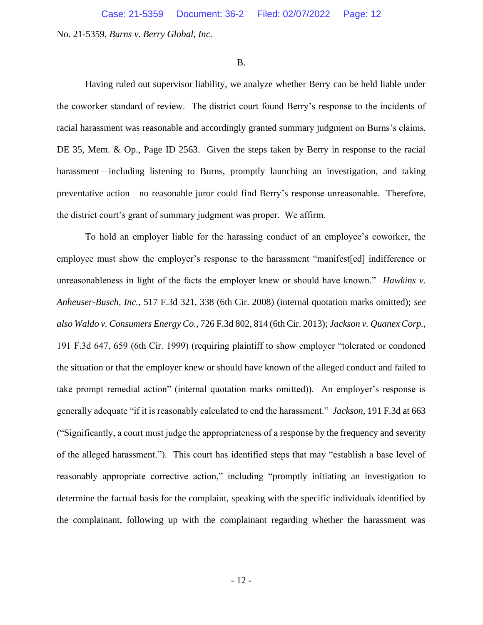#### B.

Having ruled out supervisor liability, we analyze whether Berry can be held liable under the coworker standard of review. The district court found Berry's response to the incidents of racial harassment was reasonable and accordingly granted summary judgment on Burns's claims. DE 35, Mem. & Op., Page ID 2563. Given the steps taken by Berry in response to the racial harassment—including listening to Burns, promptly launching an investigation, and taking preventative action—no reasonable juror could find Berry's response unreasonable. Therefore, the district court's grant of summary judgment was proper. We affirm.

To hold an employer liable for the harassing conduct of an employee's coworker, the employee must show the employer's response to the harassment "manifest[ed] indifference or unreasonableness in light of the facts the employer knew or should have known." *Hawkins v. Anheuser-Busch, Inc.*, 517 F.3d 321, 338 (6th Cir. 2008) (internal quotation marks omitted); *see also Waldo v. Consumers Energy Co.*, 726 F.3d 802, 814 (6th Cir. 2013); *Jackson v. Quanex Corp.*, 191 F.3d 647, 659 (6th Cir. 1999) (requiring plaintiff to show employer "tolerated or condoned the situation or that the employer knew or should have known of the alleged conduct and failed to take prompt remedial action" (internal quotation marks omitted)). An employer's response is generally adequate "if it is reasonably calculated to end the harassment." *Jackson*, 191 F.3d at 663 ("Significantly, a court must judge the appropriateness of a response by the frequency and severity of the alleged harassment."). This court has identified steps that may "establish a base level of reasonably appropriate corrective action," including "promptly initiating an investigation to determine the factual basis for the complaint, speaking with the specific individuals identified by the complainant, following up with the complainant regarding whether the harassment was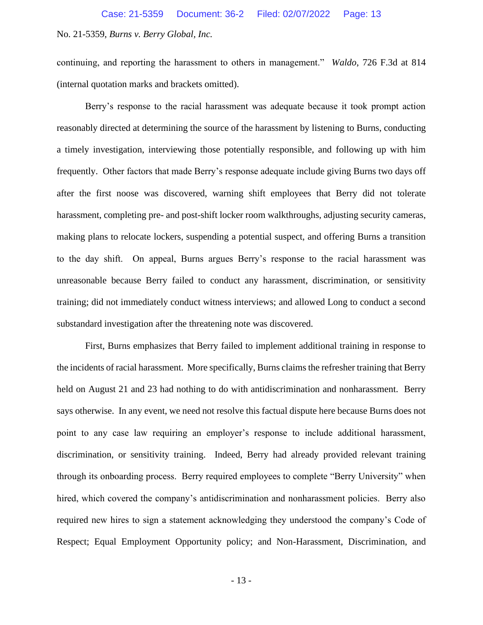continuing, and reporting the harassment to others in management." *Waldo*, 726 F.3d at 814 (internal quotation marks and brackets omitted).

Berry's response to the racial harassment was adequate because it took prompt action reasonably directed at determining the source of the harassment by listening to Burns, conducting a timely investigation, interviewing those potentially responsible, and following up with him frequently. Other factors that made Berry's response adequate include giving Burns two days off after the first noose was discovered, warning shift employees that Berry did not tolerate harassment, completing pre- and post-shift locker room walkthroughs, adjusting security cameras, making plans to relocate lockers, suspending a potential suspect, and offering Burns a transition to the day shift. On appeal, Burns argues Berry's response to the racial harassment was unreasonable because Berry failed to conduct any harassment, discrimination, or sensitivity training; did not immediately conduct witness interviews; and allowed Long to conduct a second substandard investigation after the threatening note was discovered.

First, Burns emphasizes that Berry failed to implement additional training in response to the incidents of racial harassment. More specifically, Burns claims the refresher training that Berry held on August 21 and 23 had nothing to do with antidiscrimination and nonharassment. Berry says otherwise. In any event, we need not resolve this factual dispute here because Burns does not point to any case law requiring an employer's response to include additional harassment, discrimination, or sensitivity training. Indeed, Berry had already provided relevant training through its onboarding process. Berry required employees to complete "Berry University" when hired, which covered the company's antidiscrimination and nonharassment policies. Berry also required new hires to sign a statement acknowledging they understood the company's Code of Respect; Equal Employment Opportunity policy; and Non-Harassment, Discrimination, and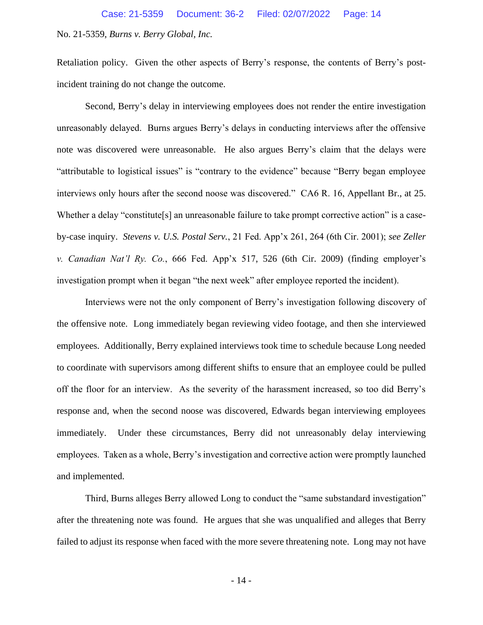Retaliation policy. Given the other aspects of Berry's response, the contents of Berry's postincident training do not change the outcome.

Second, Berry's delay in interviewing employees does not render the entire investigation unreasonably delayed. Burns argues Berry's delays in conducting interviews after the offensive note was discovered were unreasonable. He also argues Berry's claim that the delays were "attributable to logistical issues" is "contrary to the evidence" because "Berry began employee interviews only hours after the second noose was discovered." CA6 R. 16, Appellant Br., at 25. Whether a delay "constitute[s] an unreasonable failure to take prompt corrective action" is a caseby-case inquiry. *Stevens v. U.S. Postal Serv.*, 21 Fed. App'x 261, 264 (6th Cir. 2001); *see Zeller v. Canadian Nat'l Ry. Co.*, 666 Fed. App'x 517, 526 (6th Cir. 2009) (finding employer's investigation prompt when it began "the next week" after employee reported the incident).

Interviews were not the only component of Berry's investigation following discovery of the offensive note. Long immediately began reviewing video footage, and then she interviewed employees. Additionally, Berry explained interviews took time to schedule because Long needed to coordinate with supervisors among different shifts to ensure that an employee could be pulled off the floor for an interview. As the severity of the harassment increased, so too did Berry's response and, when the second noose was discovered, Edwards began interviewing employees immediately. Under these circumstances, Berry did not unreasonably delay interviewing employees. Taken as a whole, Berry's investigation and corrective action were promptly launched and implemented.

Third, Burns alleges Berry allowed Long to conduct the "same substandard investigation" after the threatening note was found. He argues that she was unqualified and alleges that Berry failed to adjust its response when faced with the more severe threatening note. Long may not have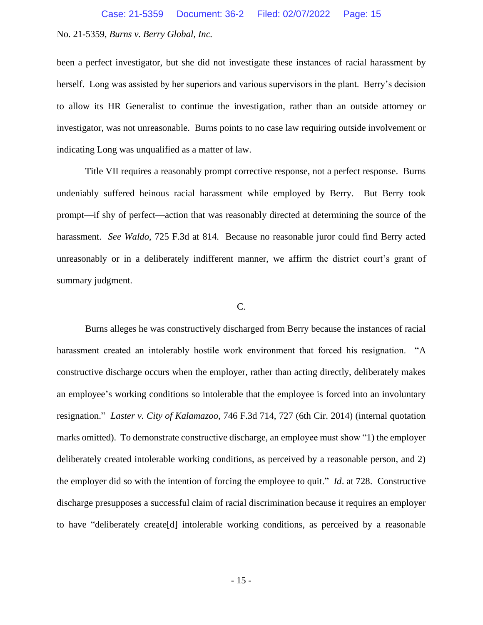been a perfect investigator, but she did not investigate these instances of racial harassment by herself. Long was assisted by her superiors and various supervisors in the plant. Berry's decision to allow its HR Generalist to continue the investigation, rather than an outside attorney or investigator, was not unreasonable. Burns points to no case law requiring outside involvement or indicating Long was unqualified as a matter of law.

Title VII requires a reasonably prompt corrective response, not a perfect response. Burns undeniably suffered heinous racial harassment while employed by Berry. But Berry took prompt—if shy of perfect—action that was reasonably directed at determining the source of the harassment. *See Waldo*, 725 F.3d at 814. Because no reasonable juror could find Berry acted unreasonably or in a deliberately indifferent manner, we affirm the district court's grant of summary judgment.

### C.

Burns alleges he was constructively discharged from Berry because the instances of racial harassment created an intolerably hostile work environment that forced his resignation. "A constructive discharge occurs when the employer, rather than acting directly, deliberately makes an employee's working conditions so intolerable that the employee is forced into an involuntary resignation." *Laster v. City of Kalamazoo*, 746 F.3d 714, 727 (6th Cir. 2014) (internal quotation marks omitted). To demonstrate constructive discharge, an employee must show "1) the employer deliberately created intolerable working conditions, as perceived by a reasonable person, and 2) the employer did so with the intention of forcing the employee to quit." *Id*. at 728. Constructive discharge presupposes a successful claim of racial discrimination because it requires an employer to have "deliberately create[d] intolerable working conditions, as perceived by a reasonable